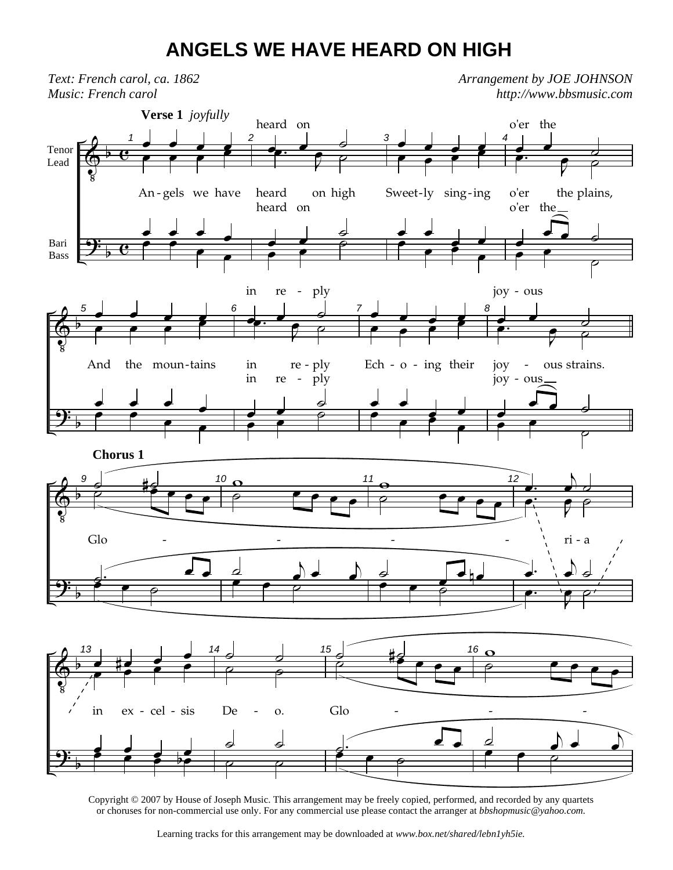## **ANGELS WE HAVE HEARD ON HIGH**



Copyright © 2007 by House of Joseph Music. This arrangement may be freely copied, performed, and recorded by any quartets or choruses for non-commercial use only. For any commercial use please contact the arranger at *bbshopmusic@yahoo.com.*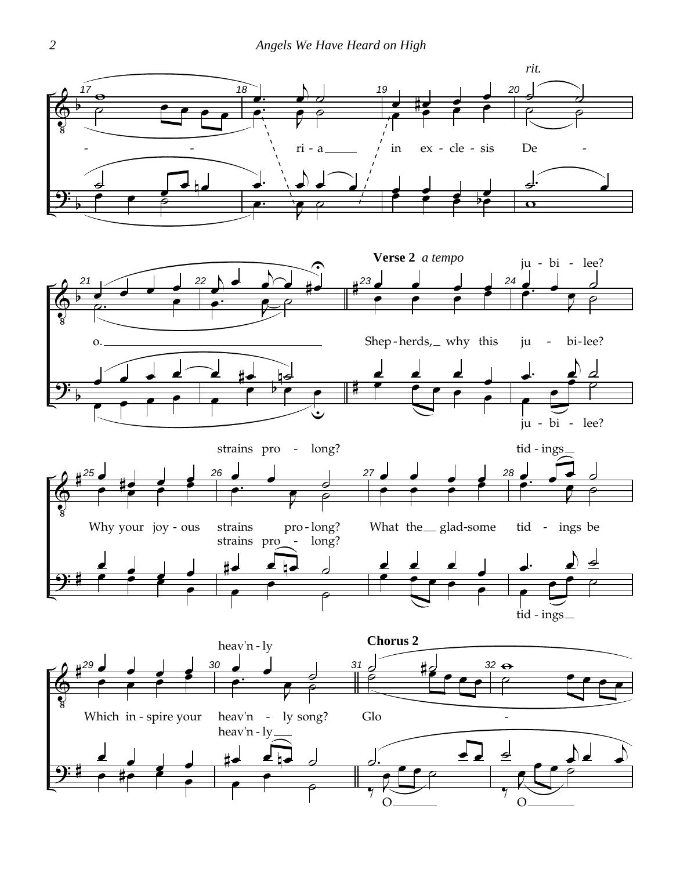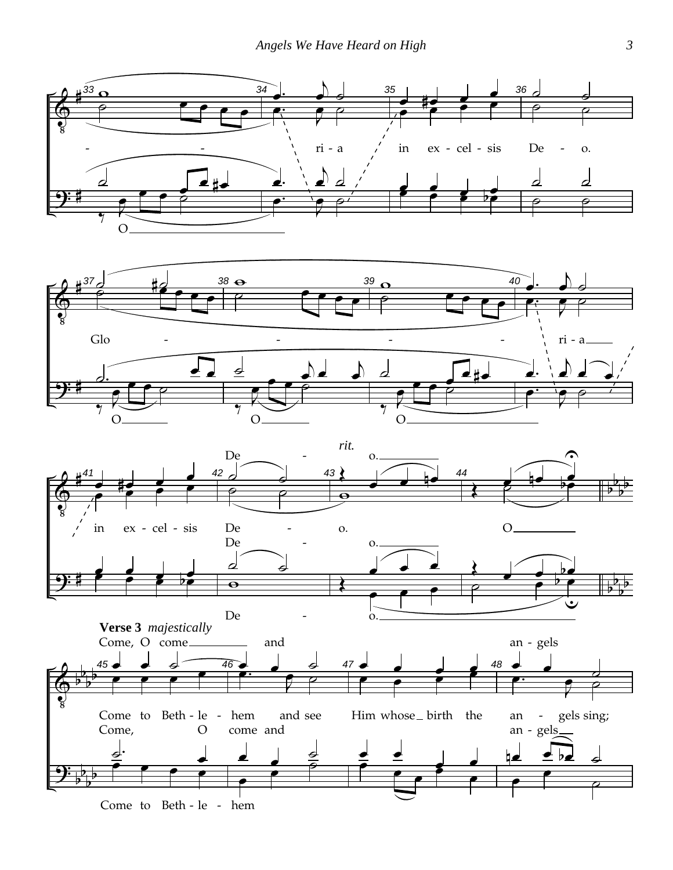





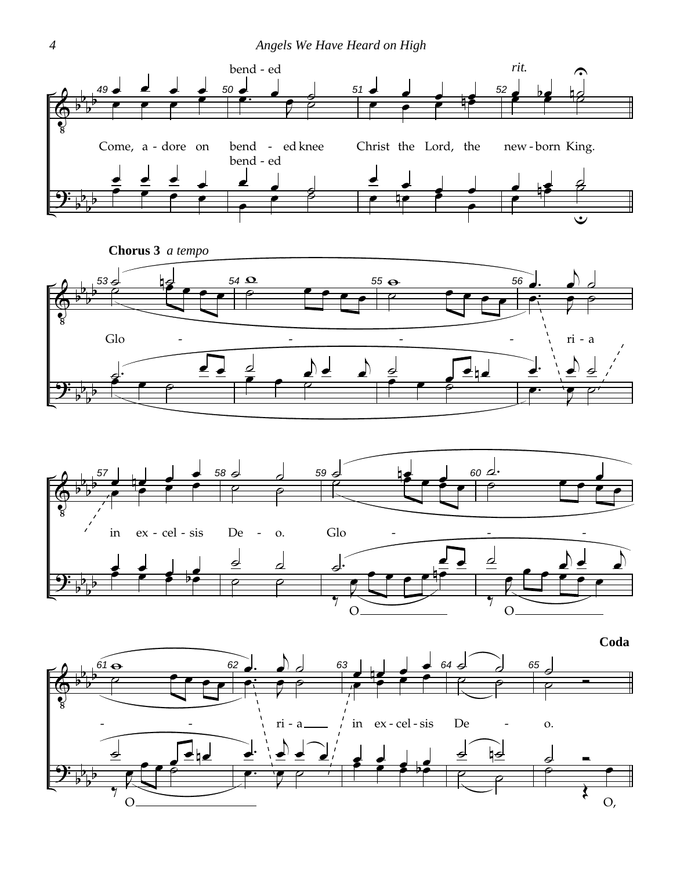